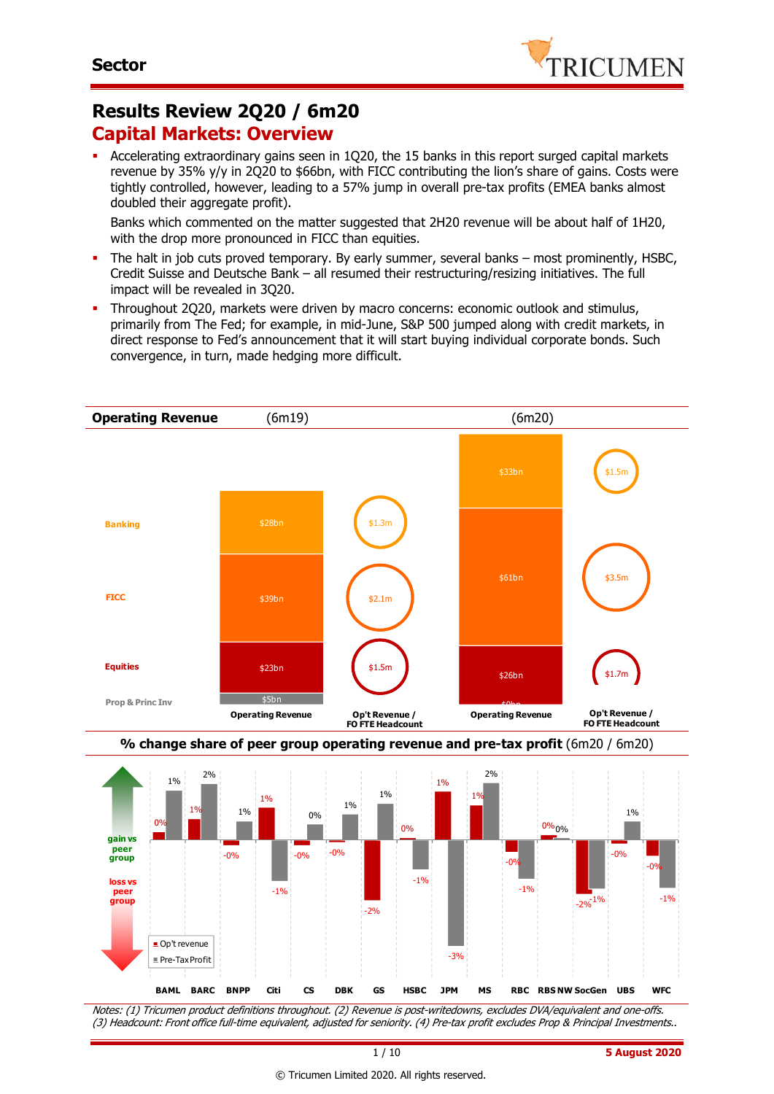

### **Results Review 2Q20 / 6m20 Capital Markets: Overview**

 Accelerating extraordinary gains seen in 1Q20, the 15 banks in this report surged capital markets revenue by 35% y/y in 2Q20 to \$66bn, with FICC contributing the lion's share of gains. Costs were tightly controlled, however, leading to a 57% jump in overall pre-tax profits (EMEA banks almost doubled their aggregate profit).

Banks which commented on the matter suggested that 2H20 revenue will be about half of 1H20, with the drop more pronounced in FICC than equities.

- The halt in job cuts proved temporary. By early summer, several banks most prominently, HSBC, Credit Suisse and Deutsche Bank – all resumed their restructuring/resizing initiatives. The full impact will be revealed in 3Q20.
- Throughout 2Q20, markets were driven by macro concerns: economic outlook and stimulus, primarily from The Fed; for example, in mid-June, S&P 500 jumped along with credit markets, in direct response to Fed's announcement that it will start buying individual corporate bonds. Such convergence, in turn, made hedging more difficult.



Notes: (1) Tricumen product definitions throughout. (2) Revenue is post-writedowns, excludes DVA/equivalent and one-offs. (3) Headcount: Front office full-time equivalent, adjusted for seniority. (4) Pre-tax profit excludes Prop & Principal Investments..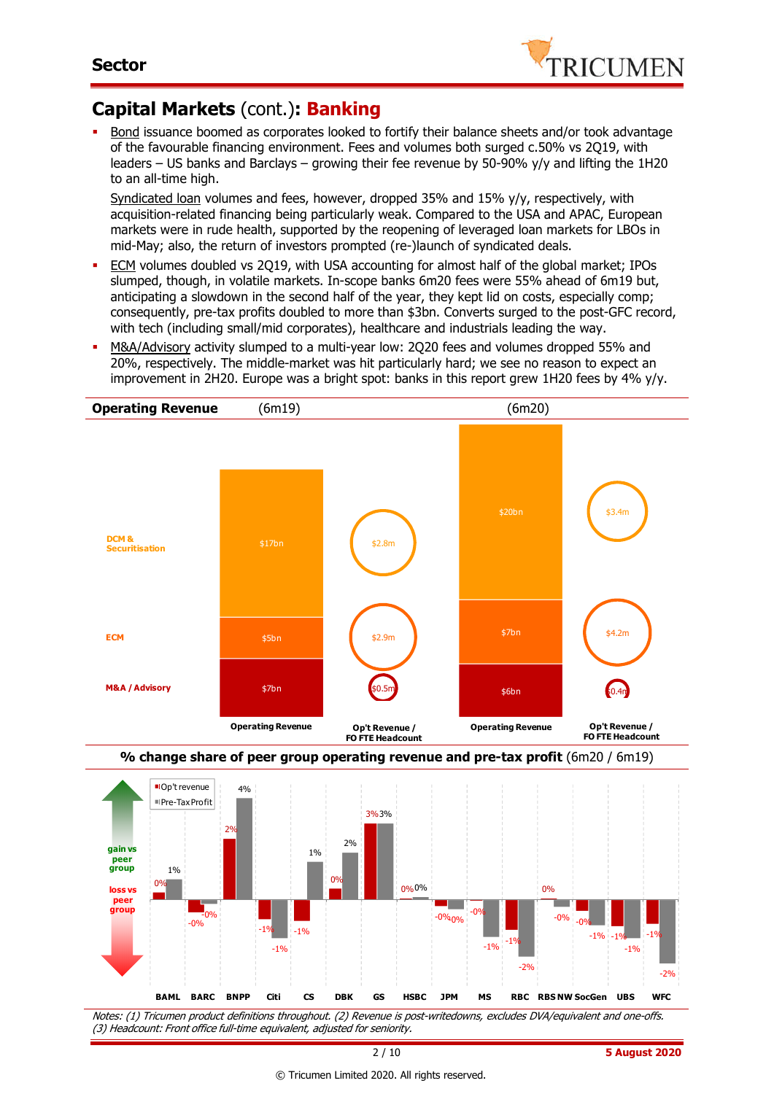

## **Capital Markets** (cont.)**: Banking**

 Bond issuance boomed as corporates looked to fortify their balance sheets and/or took advantage of the favourable financing environment. Fees and volumes both surged c.50% vs 2Q19, with leaders – US banks and Barclays – growing their fee revenue by 50-90% y/y and lifting the 1H20 to an all-time high.

Syndicated loan volumes and fees, however, dropped 35% and 15% y/y, respectively, with acquisition-related financing being particularly weak. Compared to the USA and APAC, European markets were in rude health, supported by the reopening of leveraged loan markets for LBOs in mid-May; also, the return of investors prompted (re-)launch of syndicated deals.

- ECM volumes doubled vs 2Q19, with USA accounting for almost half of the global market; IPOs slumped, though, in volatile markets. In-scope banks 6m20 fees were 55% ahead of 6m19 but, anticipating a slowdown in the second half of the year, they kept lid on costs, especially comp; consequently, pre-tax profits doubled to more than \$3bn. Converts surged to the post-GFC record, with tech (including small/mid corporates), healthcare and industrials leading the way.
- M&A/Advisory activity slumped to a multi-year low: 2Q20 fees and volumes dropped 55% and 20%, respectively. The middle-market was hit particularly hard; we see no reason to expect an improvement in 2H20. Europe was a bright spot: banks in this report grew 1H20 fees by 4% y/y.





Notes: (1) Tricumen product definitions throughout. (2) Revenue is post-writedowns, excludes DVA/equivalent and one-offs. (3) Headcount: Front office full-time equivalent, adjusted for seniority.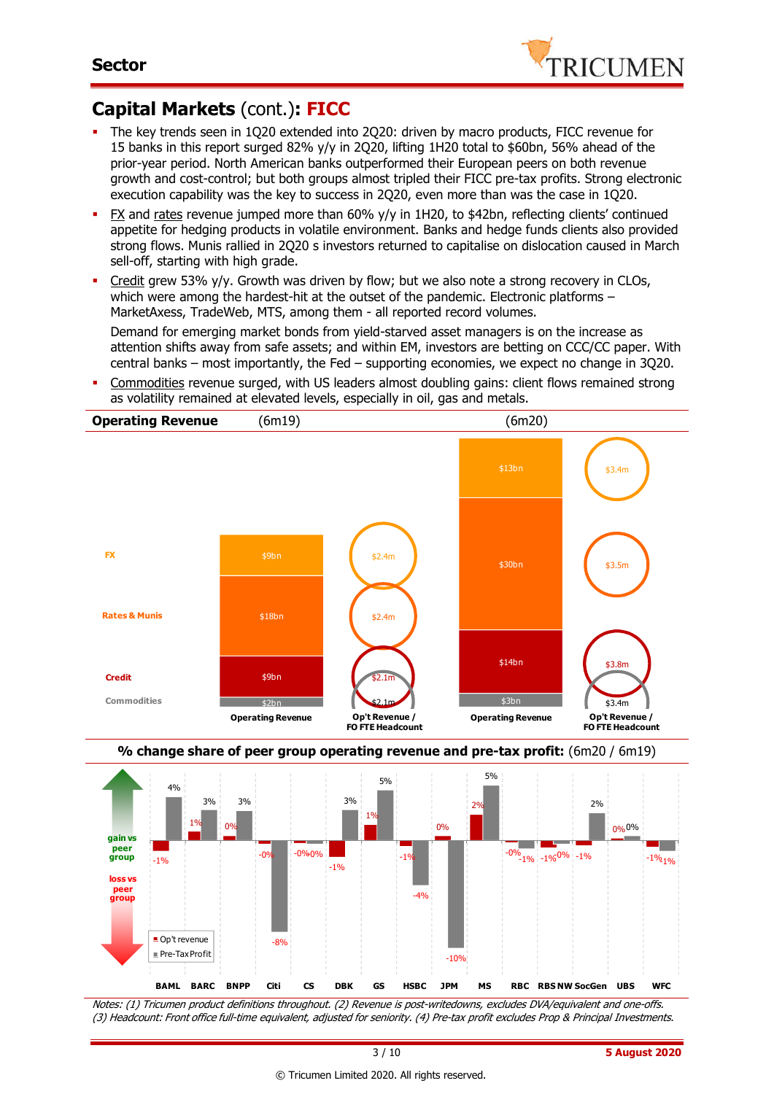

### **Capital Markets** (cont.)**: FICC**

- The key trends seen in 1Q20 extended into 2Q20: driven by macro products, FICC revenue for 15 banks in this report surged 82% y/y in 2Q20, lifting 1H20 total to \$60bn, 56% ahead of the prior-year period. North American banks outperformed their European peers on both revenue growth and cost-control; but both groups almost tripled their FICC pre-tax profits. Strong electronic execution capability was the key to success in 2Q20, even more than was the case in 1Q20.
- FX and rates revenue jumped more than 60% y/y in 1H20, to \$42bn, reflecting clients' continued appetite for hedging products in volatile environment. Banks and hedge funds clients also provided strong flows. Munis rallied in 2Q20 s investors returned to capitalise on dislocation caused in March sell-off, starting with high grade.
- Credit grew 53% y/y. Growth was driven by flow; but we also note a strong recovery in CLOs, which were among the hardest-hit at the outset of the pandemic. Electronic platforms – MarketAxess, TradeWeb, MTS, among them - all reported record volumes.

Demand for emerging market bonds from yield-starved asset managers is on the increase as attention shifts away from safe assets; and within EM, investors are betting on CCC/CC paper. With central banks – most importantly, the Fed – supporting economies, we expect no change in 3Q20.

 Commodities revenue surged, with US leaders almost doubling gains: client flows remained strong as volatility remained at elevated levels, especially in oil, gas and metals.







Notes: (1) Tricumen product definitions throughout. (2) Revenue is post-writedowns, excludes DVA/equivalent and one-offs. (3) Headcount: Front office full-time equivalent, adjusted for seniority. (4) Pre-tax profit excludes Prop & Principal Investments.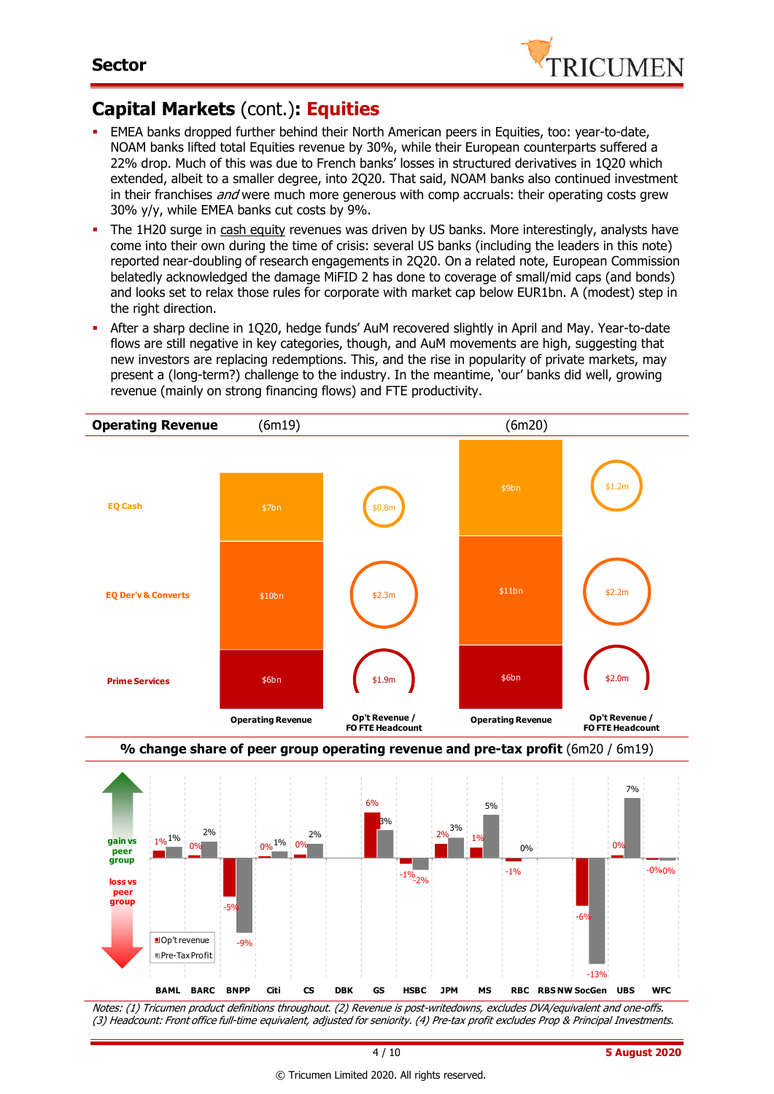

### **Capital Markets** (cont.)**: Equities**

- EMEA banks dropped further behind their North American peers in Equities, too: year-to-date, NOAM banks lifted total Equities revenue by 30%, while their European counterparts suffered a 22% drop. Much of this was due to French banks' losses in structured derivatives in 1Q20 which extended, albeit to a smaller degree, into 2Q20. That said, NOAM banks also continued investment in their franchises *and* were much more generous with comp accruals: their operating costs grew 30% y/y, while EMEA banks cut costs by 9%.
- The 1H20 surge in cash equity revenues was driven by US banks. More interestingly, analysts have come into their own during the time of crisis: several US banks (including the leaders in this note) reported near-doubling of research engagements in 2Q20. On a related note, European Commission belatedly acknowledged the damage MiFID 2 has done to coverage of small/mid caps (and bonds) and looks set to relax those rules for corporate with market cap below EUR1bn. A (modest) step in the right direction.
- After a sharp decline in 1Q20, hedge funds' AuM recovered slightly in April and May. Year-to-date flows are still negative in key categories, though, and AuM movements are high, suggesting that new investors are replacing redemptions. This, and the rise in popularity of private markets, may present a (long-term?) challenge to the industry. In the meantime, 'our' banks did well, growing revenue (mainly on strong financing flows) and FTE productivity.



Notes: (1) Tricumen product definitions throughout. (2) Revenue is post-writedowns, excludes DVA/equivalent and one-offs. (3) Headcount: Front office full-time equivalent, adjusted for seniority. (4) Pre-tax profit excludes Prop & Principal Investments. **BAML BARC BNPP Citi CS DBK GS HSBC JPM MS RBC RBS NW SocGen UBS WFC**

-9%

Op't revenue Pre-Tax Profit

-13%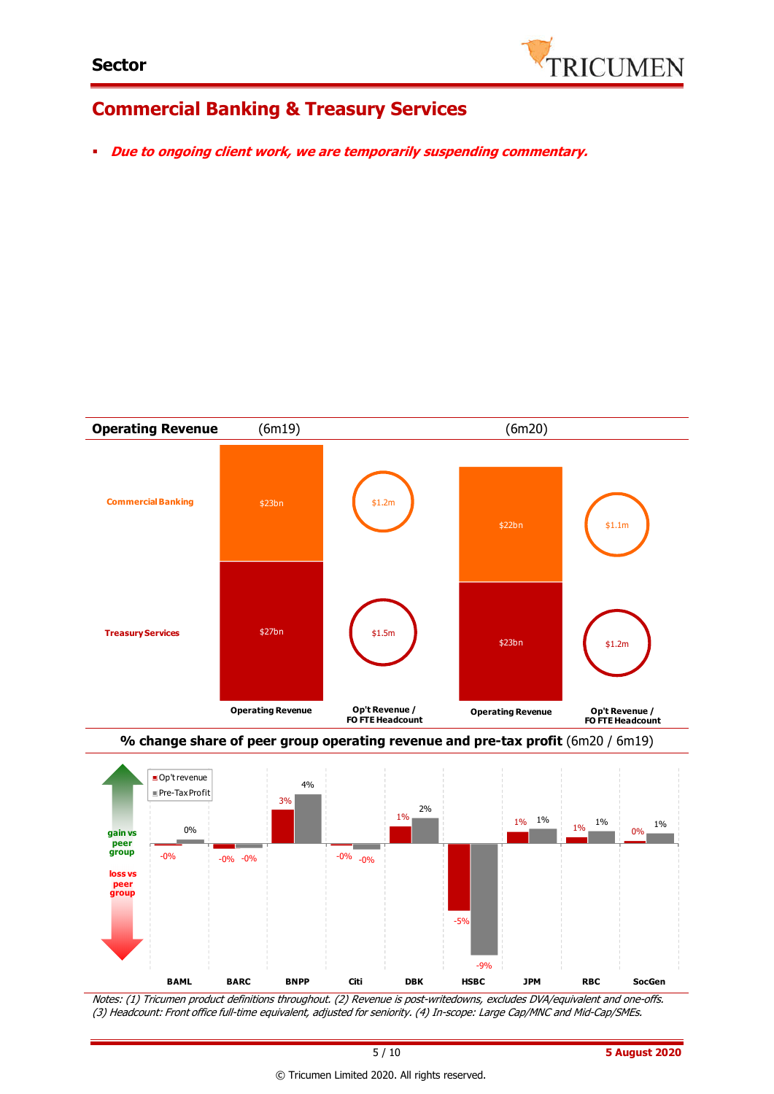

## **Commercial Banking & Treasury Services**

**Due to ongoing client work, we are temporarily suspending commentary.**







Notes: (1) Tricumen product definitions throughout. (2) Revenue is post-writedowns, excludes DVA/equivalent and one-offs. (3) Headcount: Front office full-time equivalent, adjusted for seniority. (4) In-scope: Large Cap/MNC and Mid-Cap/SMEs.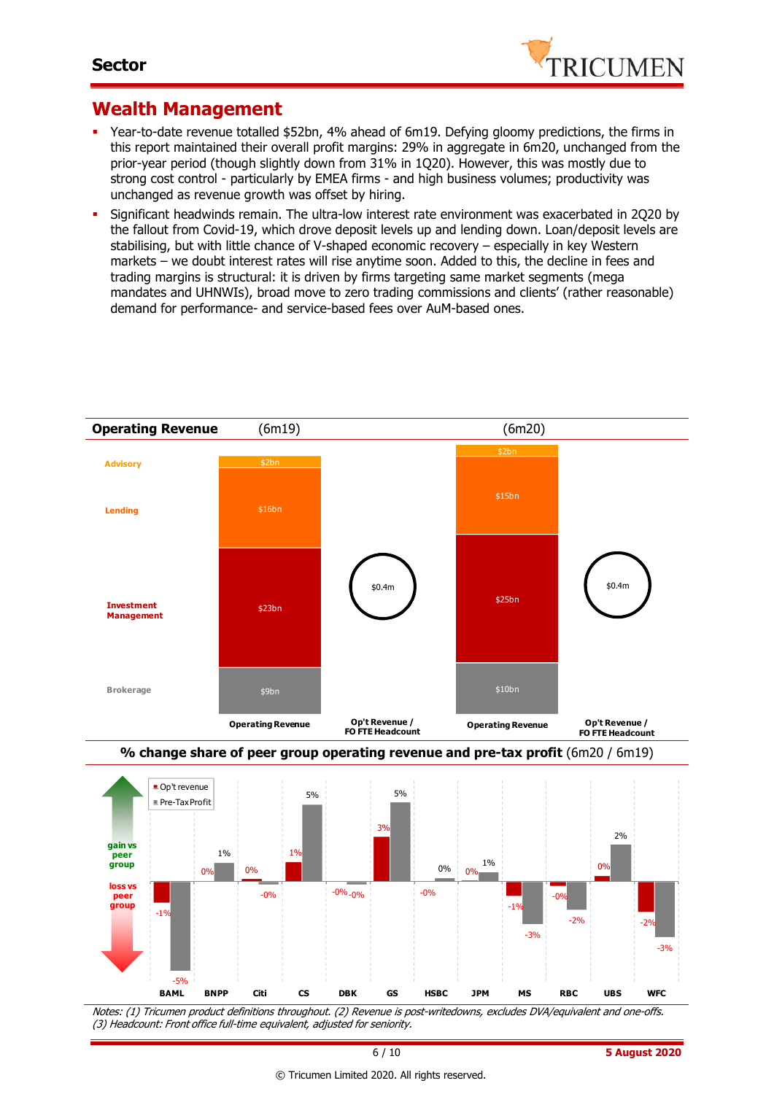

### **Wealth Management**

- Year-to-date revenue totalled \$52bn, 4% ahead of 6m19. Defying gloomy predictions, the firms in this report maintained their overall profit margins: 29% in aggregate in 6m20, unchanged from the prior-year period (though slightly down from 31% in 1Q20). However, this was mostly due to strong cost control - particularly by EMEA firms - and high business volumes; productivity was unchanged as revenue growth was offset by hiring.
- Significant headwinds remain. The ultra-low interest rate environment was exacerbated in 2Q20 by the fallout from Covid-19, which drove deposit levels up and lending down. Loan/deposit levels are stabilising, but with little chance of V-shaped economic recovery – especially in key Western markets – we doubt interest rates will rise anytime soon. Added to this, the decline in fees and trading margins is structural: it is driven by firms targeting same market segments (mega mandates and UHNWIs), broad move to zero trading commissions and clients' (rather reasonable) demand for performance- and service-based fees over AuM-based ones.





Notes: (1) Tricumen product definitions throughout. (2) Revenue is post-writedowns, excludes DVA/equivalent and one-offs. (3) Headcount: Front office full-time equivalent, adjusted for seniority.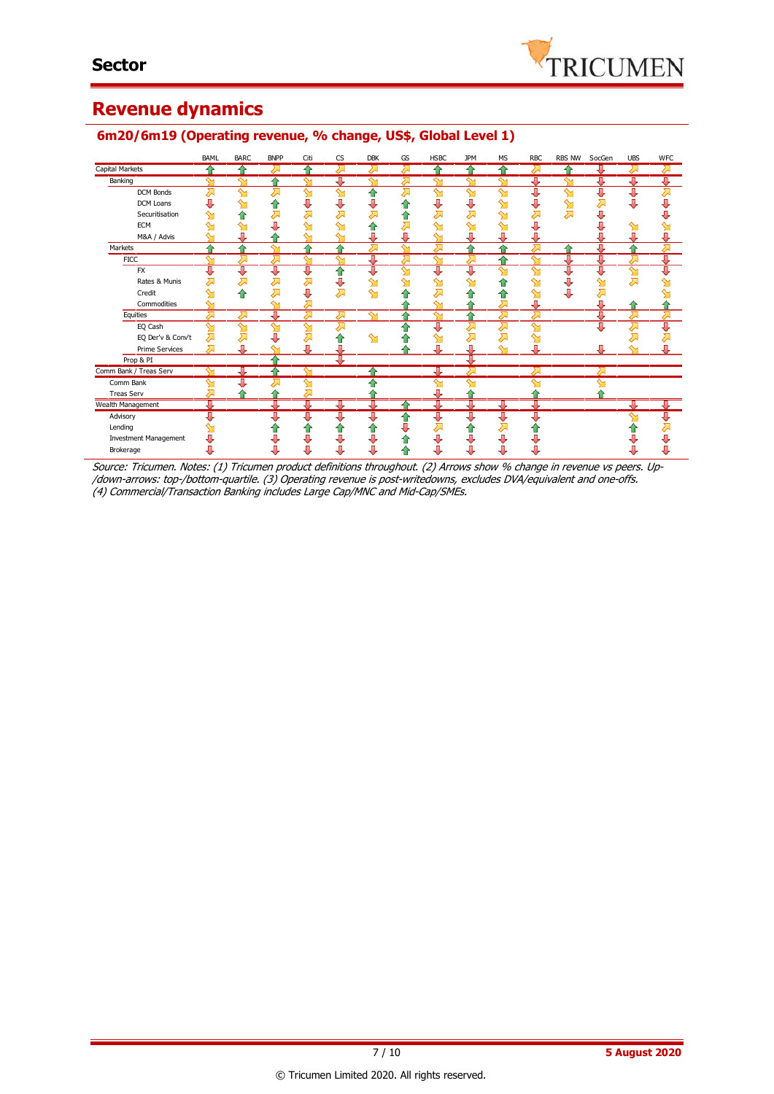## **Revenue dynamics**

|                              | BAML   | <b>BARC</b> | <b>BNPP</b> | Citi   | CS           | <b>DBK</b>         | GS           | <b>HSBC</b> | <b>JPM</b> | MS           | <b>RBC</b>         | RBS NW                  | SocGen       | <b>UBS</b>              | <b>WFC</b> |
|------------------------------|--------|-------------|-------------|--------|--------------|--------------------|--------------|-------------|------------|--------------|--------------------|-------------------------|--------------|-------------------------|------------|
| Capital Markets              | ♠      | ≙           | ⋝           |        | <del>⊼</del> | ਨ                  | ਨ            |             | ♠          | ^            | ⋝                  |                         | ⇩            | द्वा                    | 즤          |
| Banking                      | ∾      | ∾           |             | ∾      | л            | $\sim$             | <del>Д</del> | ↷           | ∾          | ∾            | U                  | $\overline{\mathbf{C}}$ | ⇩            | U                       | J          |
| DCM Bonds                    |        | ⇘           | ⊼           | ∾      | ↬            | ⇑                  | ⋝            | ⇘           | ഷ          | ഷ            | ⇩                  | ഷ                       | ⇩            | ⇩                       | 对          |
| DCM Loans                    |        | ∾           |             | U      | J            | U                  |              | U           | ⇩          | ഷ            | ⇩                  | ഷ                       | ᅎ            | J                       |            |
| Securitisation               |        |             |             |        |              |                    |              | ⊼           | 对          | $\mathbf{M}$ | ⋝                  | 罗                       | U            |                         |            |
| <b>ECM</b>                   |        | ∾           |             | ∾      | ∾            | ⇑                  | ᅬ            | ∾           | ள          | ⇘            | U                  |                         | J            | ∾                       |            |
| M&A / Advis                  | ∾      |             |             |        |              | U                  | Д            | ∾           | Л          | Л            |                    |                         | J            | Д                       |            |
| Markets                      | ♦      |             | ∼           |        |              | Σ                  | ∾            | Σ           |            |              | ⋝                  | ^                       | J            |                         | ┳          |
| <b>FICC</b>                  | $\sim$ | ⋝           | 对           | $\sim$ | ∾            | π                  | ↗            | $\sim$      | ⇗          | ▵            | $\mathbf{\hat{M}}$ | J                       | 毋            | Σ                       | J          |
| <b>FX</b>                    | п      | U           | J           | Л      | ⇧            | J                  | ↬            | U           | J          | ∾            | ள                  | ⇩                       | ⇩            | $\mathbf{M}$            | J          |
| Rates & Munis                |        | ↗           | ↗           | Σ      | ⇩            | ഷ                  | ഷ            | ⇘           | ⇘          | ⇧            | ஊ                  | ⇩                       | ⇘            | $\overline{\mathbf{z}}$ |            |
| Credit                       |        | ⇑           | ⊼           | J      | ⋝            | $\mathbf{M}$       |              | ⋝           | ⇑          | ⇧            | $\mathbf{\hat{z}}$ | ⇩                       | <del>Д</del> |                         |            |
| Commodities                  |        |             | ∾           |        |              |                    |              | ∾           |            | ⇗            | J                  |                         | ⇩            |                         |            |
| Equities                     | Д      | ⇗           | J           | Д      | 运            | $\mathbf{\hat{y}}$ |              | $\sim$      |            | ⋝            | ਨ                  |                         | J            | Σ                       | Σ          |
| EQ Cash                      | ∾      | ഷ           | ள           | ∾      | ↗            |                    |              | J           | ↗          | ⇗            | ഷ                  |                         | J            | Σ                       | ₹          |
| EQ Der'v & Conv't            |        | Σ           |             |        | 11           | $\mathbf{\hat{M}}$ |              | ⇘           | 对          | 对            | ⇘                  |                         |              |                         |            |
| <b>Prime Services</b>        | ⋝      | Д           |             | Д      |              |                    |              | Д           | Д          | ∾            | U                  |                         | Д            |                         | J          |
| Prop & PI                    |        |             |             |        | л            |                    |              |             | ш          |              |                    |                         |              |                         |            |
| Comm Bank / Treas Serv       |        | Я.          |             | ∾      |              |                    |              | л           | ਸ਼         |              | ↗                  |                         | ↗            |                         |            |
| Comm Bank                    |        |             |             |        |              |                    |              |             |            |              |                    |                         |              |                         |            |
| <b>Treas Serv</b>            |        |             |             |        |              |                    |              |             |            |              |                    |                         |              |                         |            |
| Wealth Management            | п      |             | л           | Д      | 專            | IJ                 |              | n           | л          | Д            | π                  |                         |              | J                       |            |
| Advisory                     |        |             |             |        | л            | л                  |              | IJ          | п          | IJ           |                    |                         |              |                         | U          |
| Lending                      |        |             |             |        |              |                    |              |             |            | 对            |                    |                         |              |                         |            |
| <b>Investment Management</b> |        |             |             |        |              |                    |              | J           |            |              |                    |                         |              |                         |            |
| Brokerage                    |        |             |             |        |              |                    |              |             |            |              |                    |                         |              |                         |            |

#### **6m20/6m19 (Operating revenue, % change, US\$, Global Level 1)**

Source: Tricumen. Notes: (1) Tricumen product definitions throughout. (2) Arrows show % change in revenue vs peers. Up- /down-arrows: top-/bottom-quartile. (3) Operating revenue is post-writedowns, excludes DVA/equivalent and one-offs. (4) Commercial/Transaction Banking includes Large Cap/MNC and Mid-Cap/SMEs.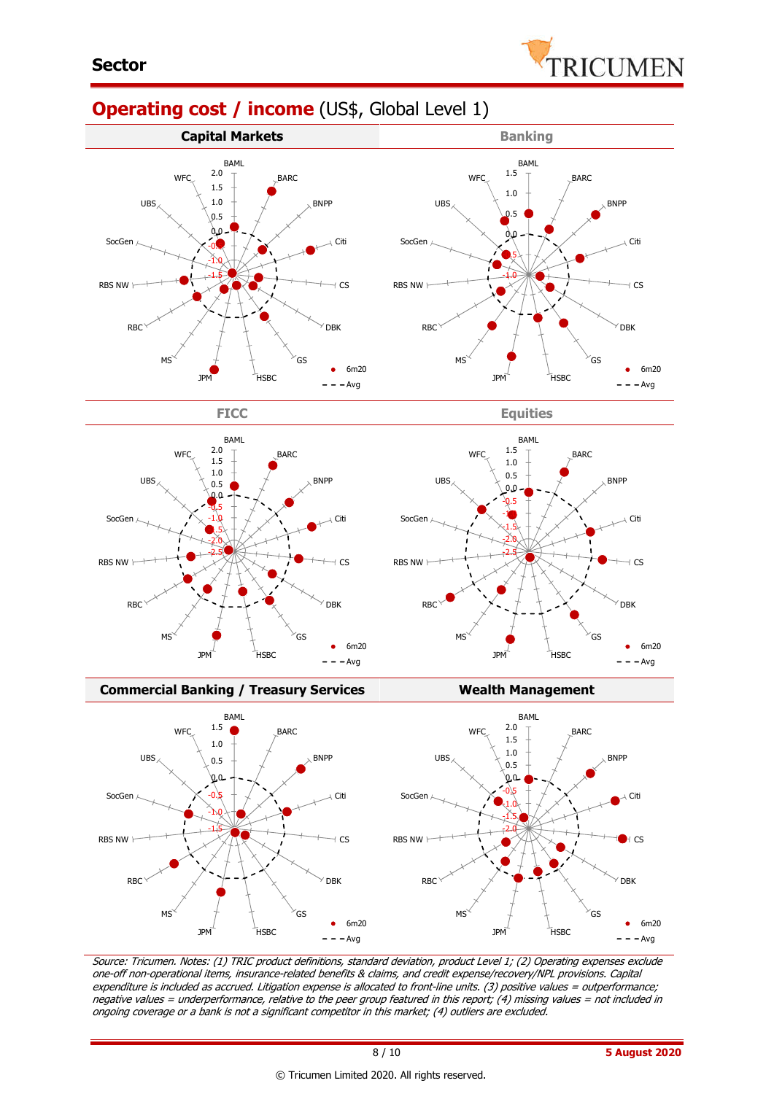

# **Operating cost / income** (US\$, Global Level 1)







**FICC Equities**



**Commercial Banking / Treasury Services Wealth Management** 



Source: Tricumen. Notes: (1) TRIC product definitions, standard deviation, product Level 1; (2) Operating expenses exclude one-off non-operational items, insurance-related benefits & claims, and credit expense/recovery/NPL provisions. Capital expenditure is included as accrued. Litigation expense is allocated to front-line units. (3) positive values = outperformance; negative values = underperformance, relative to the peer group featured in this report; (4) missing values = not included in ongoing coverage or a bank is not a significant competitor in this market; (4) outliers are excluded.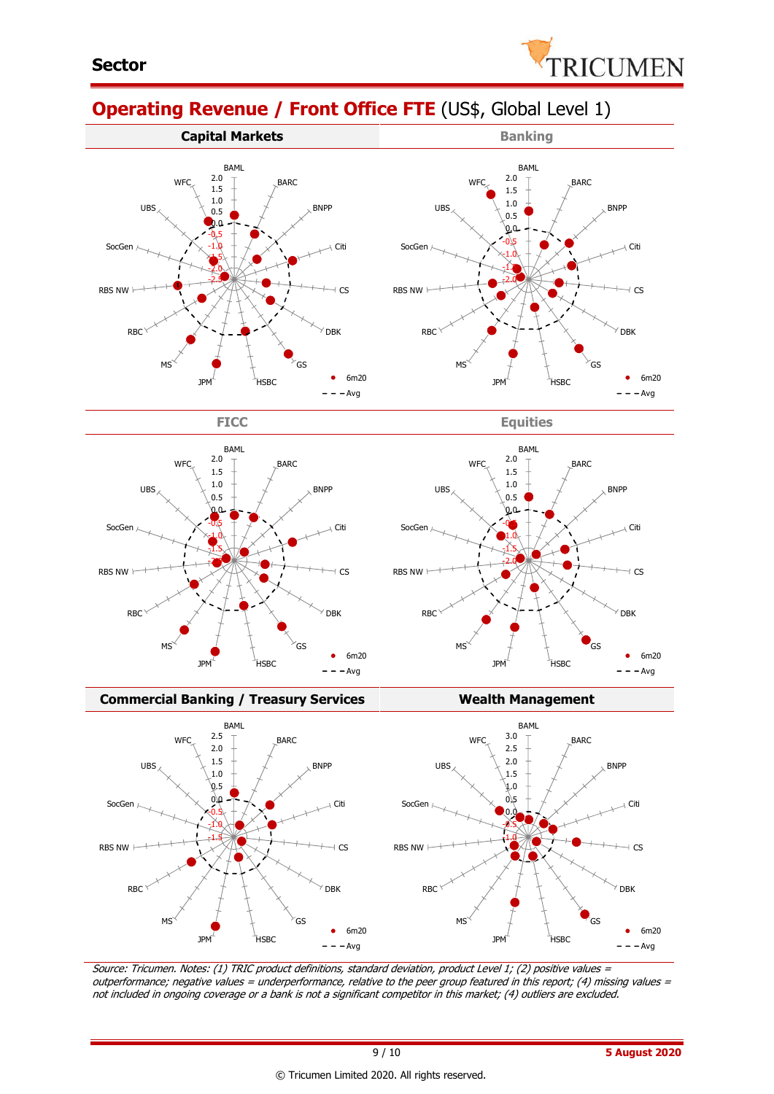

# **Operating Revenue / Front Office FTE** (US\$, Global Level 1)











#### **Commercial Banking / Treasury Services Wealth Management**



Source: Tricumen. Notes: (1) TRIC product definitions, standard deviation, product Level 1; (2) positive values <sup>=</sup> outperformance; negative values = underperformance, relative to the peer group featured in this report; (4) missing values = not included in ongoing coverage or a bank is not a significant competitor in this market; (4) outliers are excluded.